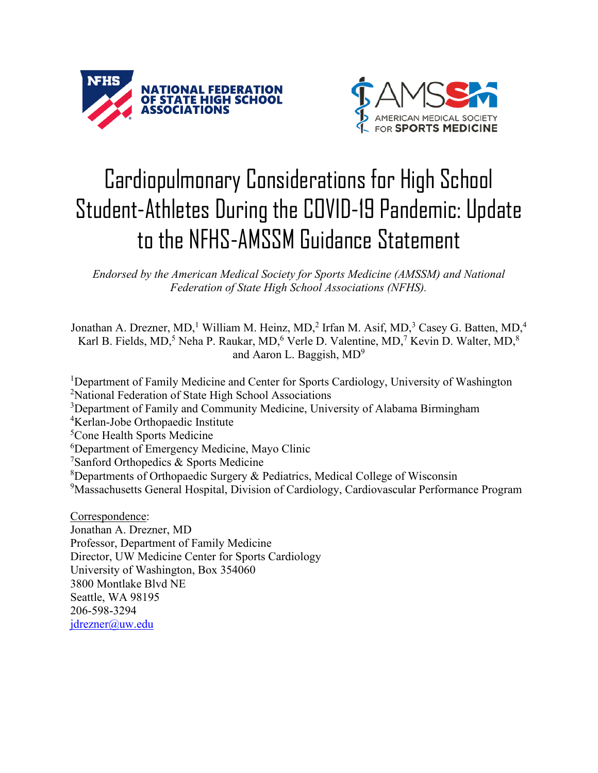



## Cardiopulmonary Considerations for High School Student-Athletes During the COVID-19 Pandemic: Update to the NFHS-AMSSM Guidance Statement

*Endorsed by the American Medical Society for Sports Medicine (AMSSM) and National Federation of State High School Associations (NFHS).*

Jonathan A. Drezner, MD,<sup>1</sup> William M. Heinz, MD,<sup>2</sup> Irfan M. Asif, MD,<sup>3</sup> Casey G. Batten, MD,<sup>4</sup> Karl B. Fields, MD,<sup>5</sup> Neha P. Raukar, MD,<sup>6</sup> Verle D. Valentine, MD,<sup>7</sup> Kevin D. Walter, MD,<sup>8</sup> and Aaron L. Baggish,  $MD<sup>9</sup>$ 

<sup>1</sup>Department of Family Medicine and Center for Sports Cardiology, University of Washington <sup>2</sup>National Federation of State High School Associations <sup>3</sup>Department of Family and Community Medicine, University of Alabama Birmingham 4 Kerlan-Jobe Orthopaedic Institute

<sup>5</sup>Cone Health Sports Medicine

6 Department of Emergency Medicine, Mayo Clinic

<sup>7</sup>Sanford Orthopedics & Sports Medicine

<sup>8</sup>Departments of Orthopaedic Surgery & Pediatrics, Medical College of Wisconsin

<sup>9</sup>Massachusetts General Hospital, Division of Cardiology, Cardiovascular Performance Program

Correspondence:

Jonathan A. Drezner, MD Professor, Department of Family Medicine Director, UW Medicine Center for Sports Cardiology University of Washington, Box 354060 3800 Montlake Blvd NE Seattle, WA 98195 206-598-3294 [jdrezner@uw.edu](mailto:jdrezner@uw.edu)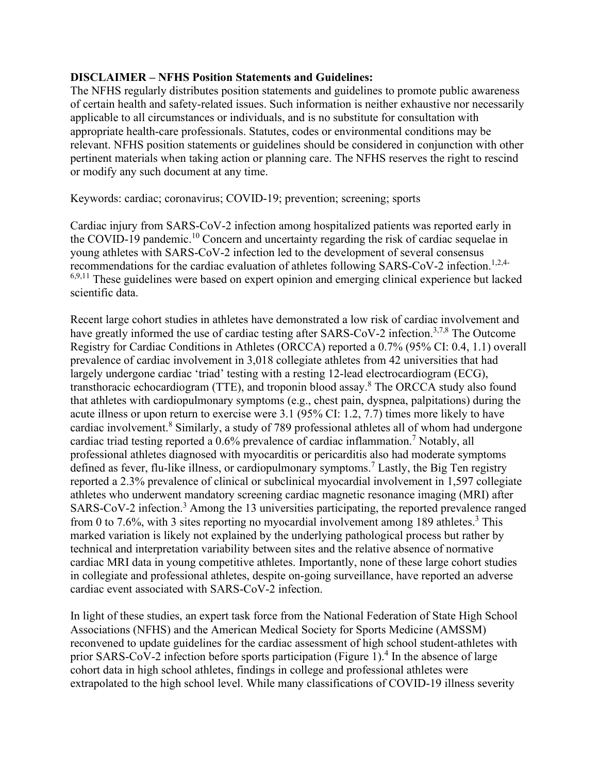## **DISCLAIMER – NFHS Position Statements and Guidelines:**

The NFHS regularly distributes position statements and guidelines to promote public awareness of certain health and safety-related issues. Such information is neither exhaustive nor necessarily applicable to all circumstances or individuals, and is no substitute for consultation with appropriate health-care professionals. Statutes, codes or environmental conditions may be relevant. NFHS position statements or guidelines should be considered in conjunction with other pertinent materials when taking action or planning care. The NFHS reserves the right to rescind or modify any such document at any time.

Keywords: cardiac; coronavirus; COVID-19; prevention; screening; sports

Cardiac injury from SARS-CoV-2 infection among hospitalized patients was reported early in the COVID-19 pandemic.<sup>10</sup> Concern and uncertainty regarding the risk of cardiac sequelae in young athletes with SARS-CoV-2 infection led to the development of several consensus recommendations for the cardiac evaluation of athletes following SARS-CoV-2 infection.<sup>1,2,4-</sup>  $6,9,11$  These guidelines were based on expert opinion and emerging clinical experience but lacked scientific data.

Recent large cohort studies in athletes have demonstrated a low risk of cardiac involvement and have greatly informed the use of cardiac testing after SARS-CoV-2 infection.<sup>3,7,8</sup> The Outcome Registry for Cardiac Conditions in Athletes (ORCCA) reported a 0.7% (95% CI: 0.4, 1.1) overall prevalence of cardiac involvement in 3,018 collegiate athletes from 42 universities that had largely undergone cardiac 'triad' testing with a resting 12-lead electrocardiogram (ECG), transthoracic echocardiogram (TTE), and troponin blood assay.<sup>8</sup> The ORCCA study also found that athletes with cardiopulmonary symptoms (e.g., chest pain, dyspnea, palpitations) during the acute illness or upon return to exercise were 3.1 (95% CI: 1.2, 7.7) times more likely to have cardiac involvement.<sup>8</sup> Similarly, a study of 789 professional athletes all of whom had undergone cardiac triad testing reported a 0.6% prevalence of cardiac inflammation. <sup>7</sup> Notably, all professional athletes diagnosed with myocarditis or pericarditis also had moderate symptoms defined as fever, flu-like illness, or cardiopulmonary symptoms.<sup>7</sup> Lastly, the Big Ten registry reported a 2.3% prevalence of clinical or subclinical myocardial involvement in 1,597 collegiate athletes who underwent mandatory screening cardiac magnetic resonance imaging (MRI) after SARS-CoV-2 infection.<sup>3</sup> Among the 13 universities participating, the reported prevalence ranged from 0 to 7.6%, with 3 sites reporting no myocardial involvement among 189 athletes.<sup>3</sup> This marked variation is likely not explained by the underlying pathological process but rather by technical and interpretation variability between sites and the relative absence of normative cardiac MRI data in young competitive athletes. Importantly, none of these large cohort studies in collegiate and professional athletes, despite on-going surveillance, have reported an adverse cardiac event associated with SARS-CoV-2 infection.

In light of these studies, an expert task force from the National Federation of State High School Associations (NFHS) and the American Medical Society for Sports Medicine (AMSSM) reconvened to update guidelines for the cardiac assessment of high school student-athletes with prior SARS-CoV-2 infection before sports participation (Figure 1). <sup>4</sup> In the absence of large cohort data in high school athletes, findings in college and professional athletes were extrapolated to the high school level. While many classifications of COVID-19 illness severity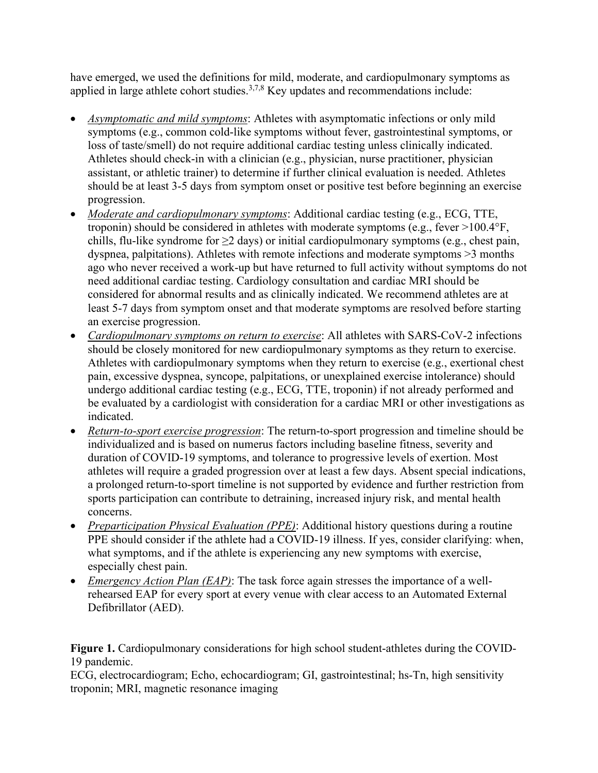have emerged, we used the definitions for mild, moderate, and cardiopulmonary symptoms as applied in large athlete cohort studies.3,7,8 Key updates and recommendations include:

- *Asymptomatic and mild symptoms*: Athletes with asymptomatic infections or only mild symptoms (e.g., common cold-like symptoms without fever, gastrointestinal symptoms, or loss of taste/smell) do not require additional cardiac testing unless clinically indicated. Athletes should check-in with a clinician (e.g., physician, nurse practitioner, physician assistant, or athletic trainer) to determine if further clinical evaluation is needed. Athletes should be at least 3-5 days from symptom onset or positive test before beginning an exercise progression.
- *Moderate and cardiopulmonary symptoms*: Additional cardiac testing (e.g., ECG, TTE, troponin) should be considered in athletes with moderate symptoms (e.g., fever >100.4°F, chills, flu-like syndrome for  $\geq$  days) or initial cardiopulmonary symptoms (e.g., chest pain, dyspnea, palpitations). Athletes with remote infections and moderate symptoms >3 months ago who never received a work-up but have returned to full activity without symptoms do not need additional cardiac testing. Cardiology consultation and cardiac MRI should be considered for abnormal results and as clinically indicated. We recommend athletes are at least 5-7 days from symptom onset and that moderate symptoms are resolved before starting an exercise progression.
- *Cardiopulmonary symptoms on return to exercise*: All athletes with SARS-CoV-2 infections should be closely monitored for new cardiopulmonary symptoms as they return to exercise. Athletes with cardiopulmonary symptoms when they return to exercise (e.g., exertional chest pain, excessive dyspnea, syncope, palpitations, or unexplained exercise intolerance) should undergo additional cardiac testing (e.g., ECG, TTE, troponin) if not already performed and be evaluated by a cardiologist with consideration for a cardiac MRI or other investigations as indicated.
- *Return-to-sport exercise progression*: The return-to-sport progression and timeline should be individualized and is based on numerus factors including baseline fitness, severity and duration of COVID-19 symptoms, and tolerance to progressive levels of exertion. Most athletes will require a graded progression over at least a few days. Absent special indications, a prolonged return-to-sport timeline is not supported by evidence and further restriction from sports participation can contribute to detraining, increased injury risk, and mental health concerns.
- *Preparticipation Physical Evaluation (PPE)*: Additional history questions during a routine PPE should consider if the athlete had a COVID-19 illness. If yes, consider clarifying: when, what symptoms, and if the athlete is experiencing any new symptoms with exercise, especially chest pain.
- *Emergency Action Plan (EAP)*: The task force again stresses the importance of a wellrehearsed EAP for every sport at every venue with clear access to an Automated External Defibrillator (AED).

Figure 1. Cardiopulmonary considerations for high school student-athletes during the COVID-19 pandemic.

ECG, electrocardiogram; Echo, echocardiogram; GI, gastrointestinal; hs-Tn, high sensitivity troponin; MRI, magnetic resonance imaging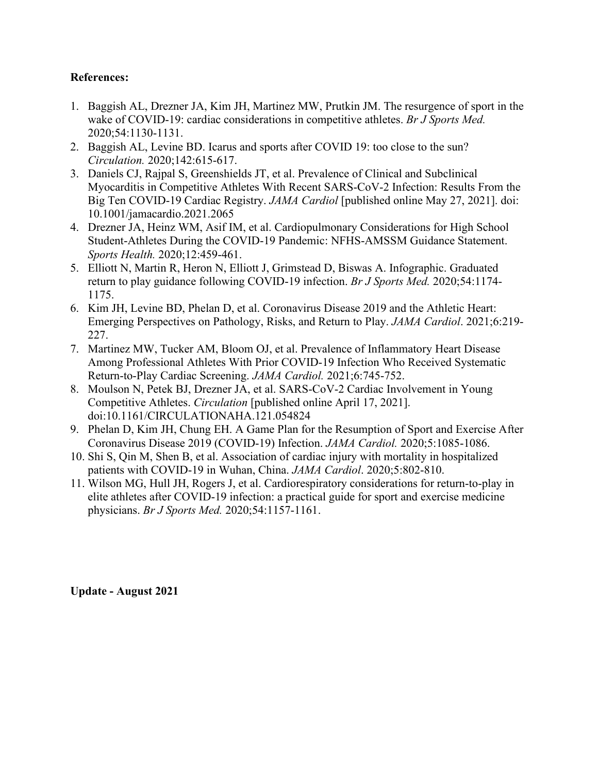## **References:**

- 1. Baggish AL, Drezner JA, Kim JH, Martinez MW, Prutkin JM. The resurgence of sport in the wake of COVID-19: cardiac considerations in competitive athletes. *Br J Sports Med.* 2020;54:1130-1131.
- 2. Baggish AL, Levine BD. Icarus and sports after COVID 19: too close to the sun? *Circulation.* 2020;142:615-617.
- 3. Daniels CJ, Rajpal S, Greenshields JT, et al. Prevalence of Clinical and Subclinical Myocarditis in Competitive Athletes With Recent SARS-CoV-2 Infection: Results From the Big Ten COVID-19 Cardiac Registry. *JAMA Cardiol* [published online May 27, 2021]. doi: 10.1001/jamacardio.2021.2065
- 4. Drezner JA, Heinz WM, Asif IM, et al. Cardiopulmonary Considerations for High School Student-Athletes During the COVID-19 Pandemic: NFHS-AMSSM Guidance Statement. *Sports Health.* 2020;12:459-461.
- 5. Elliott N, Martin R, Heron N, Elliott J, Grimstead D, Biswas A. Infographic. Graduated return to play guidance following COVID-19 infection. *Br J Sports Med.* 2020;54:1174- 1175.
- 6. Kim JH, Levine BD, Phelan D, et al. Coronavirus Disease 2019 and the Athletic Heart: Emerging Perspectives on Pathology, Risks, and Return to Play. *JAMA Cardiol*. 2021;6:219- 227.
- 7. Martinez MW, Tucker AM, Bloom OJ, et al. Prevalence of Inflammatory Heart Disease Among Professional Athletes With Prior COVID-19 Infection Who Received Systematic Return-to-Play Cardiac Screening. *JAMA Cardiol.* 2021;6:745-752.
- 8. Moulson N, Petek BJ, Drezner JA, et al. SARS-CoV-2 Cardiac Involvement in Young Competitive Athletes. *Circulation* [published online April 17, 2021]. doi:10.1161/CIRCULATIONAHA.121.054824
- 9. Phelan D, Kim JH, Chung EH. A Game Plan for the Resumption of Sport and Exercise After Coronavirus Disease 2019 (COVID-19) Infection. *JAMA Cardiol.* 2020;5:1085-1086.
- 10. Shi S, Qin M, Shen B, et al. Association of cardiac injury with mortality in hospitalized patients with COVID-19 in Wuhan, China. *JAMA Cardiol*. 2020;5:802-810.
- 11. Wilson MG, Hull JH, Rogers J, et al. Cardiorespiratory considerations for return-to-play in elite athletes after COVID-19 infection: a practical guide for sport and exercise medicine physicians. *Br J Sports Med.* 2020;54:1157-1161.

**Update - August 2021**